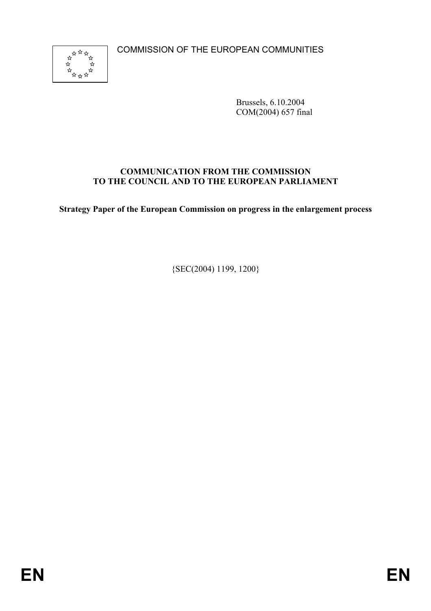COMMISSION OF THE EUROPEAN COMMUNITIES



Brussels, 6.10.2004 COM(2004) 657 final

#### **COMMUNICATION FROM THE COMMISSION TO THE COUNCIL AND TO THE EUROPEAN PARLIAMENT**

**Strategy Paper of the European Commission on progress in the enlargement process** 

{SEC(2004) 1199, 1200}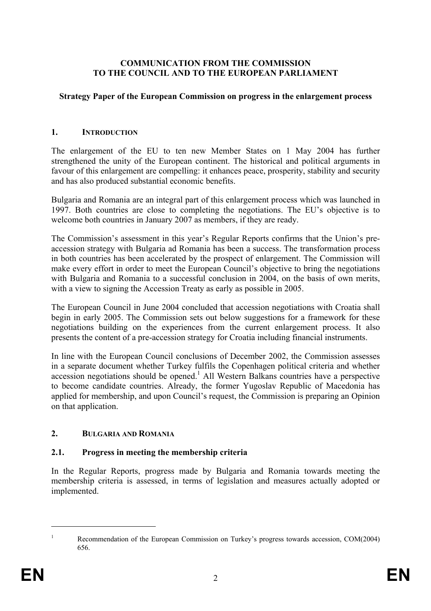#### **COMMUNICATION FROM THE COMMISSION TO THE COUNCIL AND TO THE EUROPEAN PARLIAMENT**

#### **Strategy Paper of the European Commission on progress in the enlargement process**

#### **1. INTRODUCTION**

The enlargement of the EU to ten new Member States on 1 May 2004 has further strengthened the unity of the European continent. The historical and political arguments in favour of this enlargement are compelling: it enhances peace, prosperity, stability and security and has also produced substantial economic benefits.

Bulgaria and Romania are an integral part of this enlargement process which was launched in 1997. Both countries are close to completing the negotiations. The EU's objective is to welcome both countries in January 2007 as members, if they are ready.

The Commission's assessment in this year's Regular Reports confirms that the Union's preaccession strategy with Bulgaria ad Romania has been a success. The transformation process in both countries has been accelerated by the prospect of enlargement. The Commission will make every effort in order to meet the European Council's objective to bring the negotiations with Bulgaria and Romania to a successful conclusion in 2004, on the basis of own merits, with a view to signing the Accession Treaty as early as possible in 2005.

The European Council in June 2004 concluded that accession negotiations with Croatia shall begin in early 2005. The Commission sets out below suggestions for a framework for these negotiations building on the experiences from the current enlargement process. It also presents the content of a pre-accession strategy for Croatia including financial instruments.

In line with the European Council conclusions of December 2002, the Commission assesses in a separate document whether Turkey fulfils the Copenhagen political criteria and whether accession negotiations should be opened.<sup>1</sup> All Western Balkans countries have a perspective to become candidate countries. Already, the former Yugoslav Republic of Macedonia has applied for membership, and upon Council's request, the Commission is preparing an Opinion on that application.

## **2. BULGARIA AND ROMANIA**

#### **2.1. Progress in meeting the membership criteria**

In the Regular Reports, progress made by Bulgaria and Romania towards meeting the membership criteria is assessed, in terms of legislation and measures actually adopted or implemented.

1

<sup>1</sup> Recommendation of the European Commission on Turkey's progress towards accession, COM(2004) 656.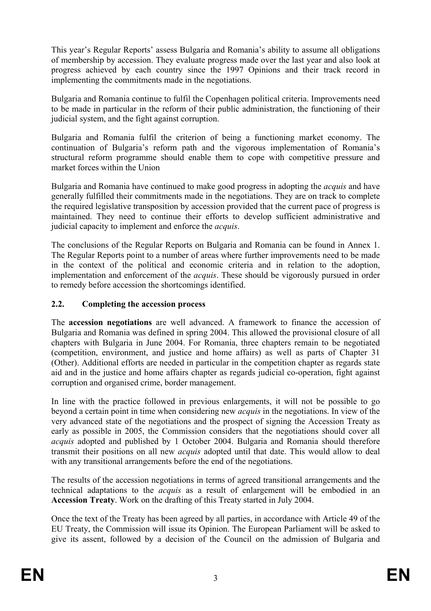This year's Regular Reports' assess Bulgaria and Romania's ability to assume all obligations of membership by accession. They evaluate progress made over the last year and also look at progress achieved by each country since the 1997 Opinions and their track record in implementing the commitments made in the negotiations.

Bulgaria and Romania continue to fulfil the Copenhagen political criteria. Improvements need to be made in particular in the reform of their public administration, the functioning of their judicial system, and the fight against corruption.

Bulgaria and Romania fulfil the criterion of being a functioning market economy. The continuation of Bulgaria's reform path and the vigorous implementation of Romania's structural reform programme should enable them to cope with competitive pressure and market forces within the Union

Bulgaria and Romania have continued to make good progress in adopting the *acquis* and have generally fulfilled their commitments made in the negotiations. They are on track to complete the required legislative transposition by accession provided that the current pace of progress is maintained. They need to continue their efforts to develop sufficient administrative and judicial capacity to implement and enforce the *acquis*.

The conclusions of the Regular Reports on Bulgaria and Romania can be found in Annex 1. The Regular Reports point to a number of areas where further improvements need to be made in the context of the political and economic criteria and in relation to the adoption, implementation and enforcement of the *acquis*. These should be vigorously pursued in order to remedy before accession the shortcomings identified.

# **2.2. Completing the accession process**

The **accession negotiations** are well advanced. A framework to finance the accession of Bulgaria and Romania was defined in spring 2004. This allowed the provisional closure of all chapters with Bulgaria in June 2004. For Romania, three chapters remain to be negotiated (competition, environment, and justice and home affairs) as well as parts of Chapter 31 (Other). Additional efforts are needed in particular in the competition chapter as regards state aid and in the justice and home affairs chapter as regards judicial co-operation, fight against corruption and organised crime, border management.

In line with the practice followed in previous enlargements, it will not be possible to go beyond a certain point in time when considering new *acquis* in the negotiations. In view of the very advanced state of the negotiations and the prospect of signing the Accession Treaty as early as possible in 2005, the Commission considers that the negotiations should cover all *acquis* adopted and published by 1 October 2004. Bulgaria and Romania should therefore transmit their positions on all new *acquis* adopted until that date. This would allow to deal with any transitional arrangements before the end of the negotiations.

The results of the accession negotiations in terms of agreed transitional arrangements and the technical adaptations to the *acquis* as a result of enlargement will be embodied in an **Accession Treaty**. Work on the drafting of this Treaty started in July 2004.

Once the text of the Treaty has been agreed by all parties, in accordance with Article 49 of the EU Treaty, the Commission will issue its Opinion. The European Parliament will be asked to give its assent, followed by a decision of the Council on the admission of Bulgaria and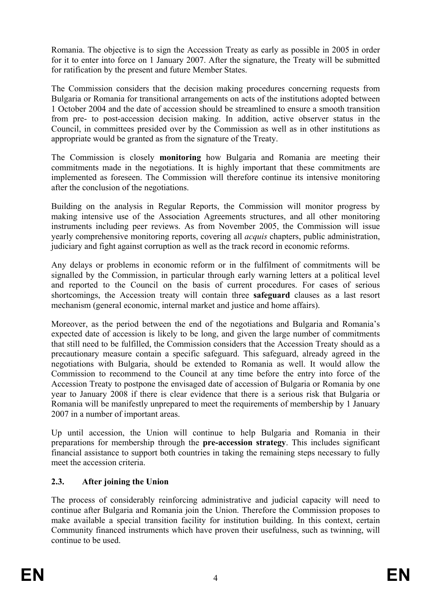Romania. The objective is to sign the Accession Treaty as early as possible in 2005 in order for it to enter into force on 1 January 2007. After the signature, the Treaty will be submitted for ratification by the present and future Member States.

The Commission considers that the decision making procedures concerning requests from Bulgaria or Romania for transitional arrangements on acts of the institutions adopted between 1 October 2004 and the date of accession should be streamlined to ensure a smooth transition from pre- to post-accession decision making. In addition, active observer status in the Council, in committees presided over by the Commission as well as in other institutions as appropriate would be granted as from the signature of the Treaty.

The Commission is closely **monitoring** how Bulgaria and Romania are meeting their commitments made in the negotiations. It is highly important that these commitments are implemented as foreseen. The Commission will therefore continue its intensive monitoring after the conclusion of the negotiations.

Building on the analysis in Regular Reports, the Commission will monitor progress by making intensive use of the Association Agreements structures, and all other monitoring instruments including peer reviews. As from November 2005, the Commission will issue yearly comprehensive monitoring reports, covering all *acquis* chapters, public administration, judiciary and fight against corruption as well as the track record in economic reforms.

Any delays or problems in economic reform or in the fulfilment of commitments will be signalled by the Commission, in particular through early warning letters at a political level and reported to the Council on the basis of current procedures. For cases of serious shortcomings, the Accession treaty will contain three **safeguard** clauses as a last resort mechanism (general economic, internal market and justice and home affairs).

Moreover, as the period between the end of the negotiations and Bulgaria and Romania's expected date of accession is likely to be long, and given the large number of commitments that still need to be fulfilled, the Commission considers that the Accession Treaty should as a precautionary measure contain a specific safeguard. This safeguard, already agreed in the negotiations with Bulgaria, should be extended to Romania as well. It would allow the Commission to recommend to the Council at any time before the entry into force of the Accession Treaty to postpone the envisaged date of accession of Bulgaria or Romania by one year to January 2008 if there is clear evidence that there is a serious risk that Bulgaria or Romania will be manifestly unprepared to meet the requirements of membership by 1 January 2007 in a number of important areas.

Up until accession, the Union will continue to help Bulgaria and Romania in their preparations for membership through the **pre-accession strategy**. This includes significant financial assistance to support both countries in taking the remaining steps necessary to fully meet the accession criteria.

# **2.3. After joining the Union**

The process of considerably reinforcing administrative and judicial capacity will need to continue after Bulgaria and Romania join the Union. Therefore the Commission proposes to make available a special transition facility for institution building. In this context, certain Community financed instruments which have proven their usefulness, such as twinning, will continue to be used.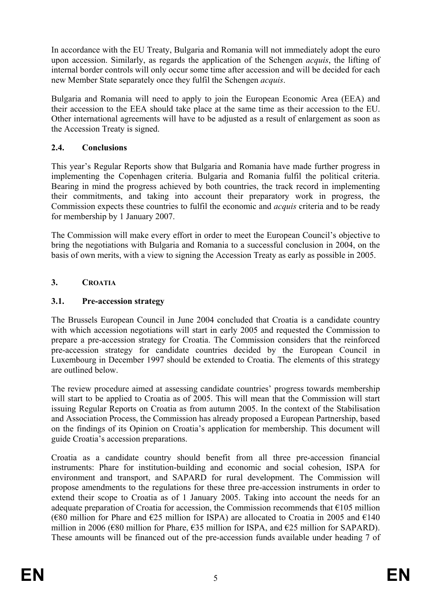In accordance with the EU Treaty, Bulgaria and Romania will not immediately adopt the euro upon accession. Similarly, as regards the application of the Schengen *acquis*, the lifting of internal border controls will only occur some time after accession and will be decided for each new Member State separately once they fulfil the Schengen *acquis*.

Bulgaria and Romania will need to apply to join the European Economic Area (EEA) and their accession to the EEA should take place at the same time as their accession to the EU. Other international agreements will have to be adjusted as a result of enlargement as soon as the Accession Treaty is signed.

## **2.4. Conclusions**

This year's Regular Reports show that Bulgaria and Romania have made further progress in implementing the Copenhagen criteria. Bulgaria and Romania fulfil the political criteria. Bearing in mind the progress achieved by both countries, the track record in implementing their commitments, and taking into account their preparatory work in progress, the Commission expects these countries to fulfil the economic and *acquis* criteria and to be ready for membership by 1 January 2007.

The Commission will make every effort in order to meet the European Council's objective to bring the negotiations with Bulgaria and Romania to a successful conclusion in 2004, on the basis of own merits, with a view to signing the Accession Treaty as early as possible in 2005.

## **3. CROATIA**

## **3.1. Pre-accession strategy**

The Brussels European Council in June 2004 concluded that Croatia is a candidate country with which accession negotiations will start in early 2005 and requested the Commission to prepare a pre-accession strategy for Croatia. The Commission considers that the reinforced pre-accession strategy for candidate countries decided by the European Council in Luxembourg in December 1997 should be extended to Croatia. The elements of this strategy are outlined below.

The review procedure aimed at assessing candidate countries' progress towards membership will start to be applied to Croatia as of 2005. This will mean that the Commission will start issuing Regular Reports on Croatia as from autumn 2005. In the context of the Stabilisation and Association Process, the Commission has already proposed a European Partnership, based on the findings of its Opinion on Croatia's application for membership. This document will guide Croatia's accession preparations.

Croatia as a candidate country should benefit from all three pre-accession financial instruments: Phare for institution-building and economic and social cohesion, ISPA for environment and transport, and SAPARD for rural development. The Commission will propose amendments to the regulations for these three pre-accession instruments in order to extend their scope to Croatia as of 1 January 2005. Taking into account the needs for an adequate preparation of Croatia for accession, the Commission recommends that  $\epsilon$ 105 million (€80 million for Phare and €25 million for ISPA) are allocated to Croatia in 2005 and €140 million in 2006 ( $\epsilon$ 80 million for Phare,  $\epsilon$ 35 million for ISPA, and  $\epsilon$ 25 million for SAPARD). These amounts will be financed out of the pre-accession funds available under heading 7 of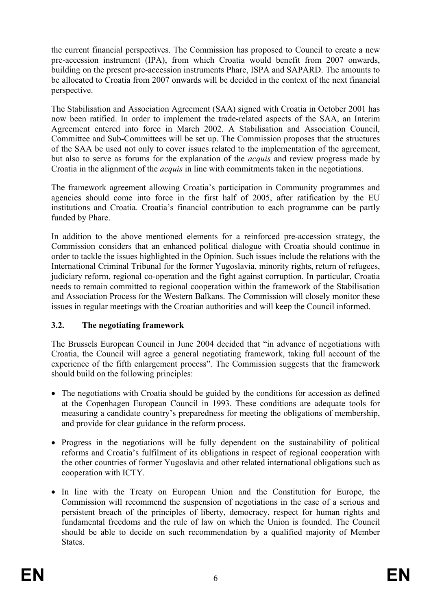the current financial perspectives. The Commission has proposed to Council to create a new pre-accession instrument (IPA), from which Croatia would benefit from 2007 onwards, building on the present pre-accession instruments Phare, ISPA and SAPARD. The amounts to be allocated to Croatia from 2007 onwards will be decided in the context of the next financial perspective.

The Stabilisation and Association Agreement (SAA) signed with Croatia in October 2001 has now been ratified. In order to implement the trade-related aspects of the SAA, an Interim Agreement entered into force in March 2002. A Stabilisation and Association Council, Committee and Sub-Committees will be set up. The Commission proposes that the structures of the SAA be used not only to cover issues related to the implementation of the agreement, but also to serve as forums for the explanation of the *acquis* and review progress made by Croatia in the alignment of the *acquis* in line with commitments taken in the negotiations.

The framework agreement allowing Croatia's participation in Community programmes and agencies should come into force in the first half of 2005, after ratification by the EU institutions and Croatia. Croatia's financial contribution to each programme can be partly funded by Phare.

In addition to the above mentioned elements for a reinforced pre-accession strategy, the Commission considers that an enhanced political dialogue with Croatia should continue in order to tackle the issues highlighted in the Opinion. Such issues include the relations with the International Criminal Tribunal for the former Yugoslavia, minority rights, return of refugees, judiciary reform, regional co-operation and the fight against corruption. In particular, Croatia needs to remain committed to regional cooperation within the framework of the Stabilisation and Association Process for the Western Balkans. The Commission will closely monitor these issues in regular meetings with the Croatian authorities and will keep the Council informed.

# **3.2. The negotiating framework**

The Brussels European Council in June 2004 decided that "in advance of negotiations with Croatia, the Council will agree a general negotiating framework, taking full account of the experience of the fifth enlargement process". The Commission suggests that the framework should build on the following principles:

- The negotiations with Croatia should be guided by the conditions for accession as defined at the Copenhagen European Council in 1993. These conditions are adequate tools for measuring a candidate country's preparedness for meeting the obligations of membership, and provide for clear guidance in the reform process.
- Progress in the negotiations will be fully dependent on the sustainability of political reforms and Croatia's fulfilment of its obligations in respect of regional cooperation with the other countries of former Yugoslavia and other related international obligations such as cooperation with ICTY.
- In line with the Treaty on European Union and the Constitution for Europe, the Commission will recommend the suspension of negotiations in the case of a serious and persistent breach of the principles of liberty, democracy, respect for human rights and fundamental freedoms and the rule of law on which the Union is founded. The Council should be able to decide on such recommendation by a qualified majority of Member States.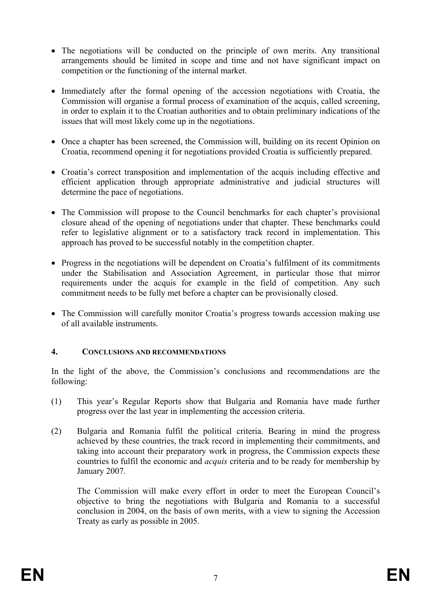- The negotiations will be conducted on the principle of own merits. Any transitional arrangements should be limited in scope and time and not have significant impact on competition or the functioning of the internal market.
- Immediately after the formal opening of the accession negotiations with Croatia, the Commission will organise a formal process of examination of the acquis, called screening, in order to explain it to the Croatian authorities and to obtain preliminary indications of the issues that will most likely come up in the negotiations.
- Once a chapter has been screened, the Commission will, building on its recent Opinion on Croatia, recommend opening it for negotiations provided Croatia is sufficiently prepared.
- Croatia's correct transposition and implementation of the acquis including effective and efficient application through appropriate administrative and judicial structures will determine the pace of negotiations.
- The Commission will propose to the Council benchmarks for each chapter's provisional closure ahead of the opening of negotiations under that chapter. These benchmarks could refer to legislative alignment or to a satisfactory track record in implementation. This approach has proved to be successful notably in the competition chapter.
- Progress in the negotiations will be dependent on Croatia's fulfilment of its commitments under the Stabilisation and Association Agreement, in particular those that mirror requirements under the acquis for example in the field of competition. Any such commitment needs to be fully met before a chapter can be provisionally closed.
- The Commission will carefully monitor Croatia's progress towards accession making use of all available instruments.

## **4. CONCLUSIONS AND RECOMMENDATIONS**

In the light of the above, the Commission's conclusions and recommendations are the following:

- (1) This year's Regular Reports show that Bulgaria and Romania have made further progress over the last year in implementing the accession criteria.
- (2) Bulgaria and Romania fulfil the political criteria. Bearing in mind the progress achieved by these countries, the track record in implementing their commitments, and taking into account their preparatory work in progress, the Commission expects these countries to fulfil the economic and *acquis* criteria and to be ready for membership by January 2007.

The Commission will make every effort in order to meet the European Council's objective to bring the negotiations with Bulgaria and Romania to a successful conclusion in 2004, on the basis of own merits, with a view to signing the Accession Treaty as early as possible in 2005.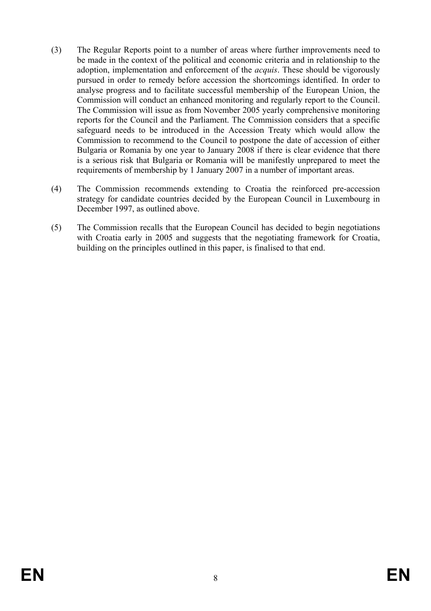- (3) The Regular Reports point to a number of areas where further improvements need to be made in the context of the political and economic criteria and in relationship to the adoption, implementation and enforcement of the *acquis*. These should be vigorously pursued in order to remedy before accession the shortcomings identified. In order to analyse progress and to facilitate successful membership of the European Union, the Commission will conduct an enhanced monitoring and regularly report to the Council. The Commission will issue as from November 2005 yearly comprehensive monitoring reports for the Council and the Parliament. The Commission considers that a specific safeguard needs to be introduced in the Accession Treaty which would allow the Commission to recommend to the Council to postpone the date of accession of either Bulgaria or Romania by one year to January 2008 if there is clear evidence that there is a serious risk that Bulgaria or Romania will be manifestly unprepared to meet the requirements of membership by 1 January 2007 in a number of important areas.
- (4) The Commission recommends extending to Croatia the reinforced pre-accession strategy for candidate countries decided by the European Council in Luxembourg in December 1997, as outlined above.
- (5) The Commission recalls that the European Council has decided to begin negotiations with Croatia early in 2005 and suggests that the negotiating framework for Croatia, building on the principles outlined in this paper, is finalised to that end.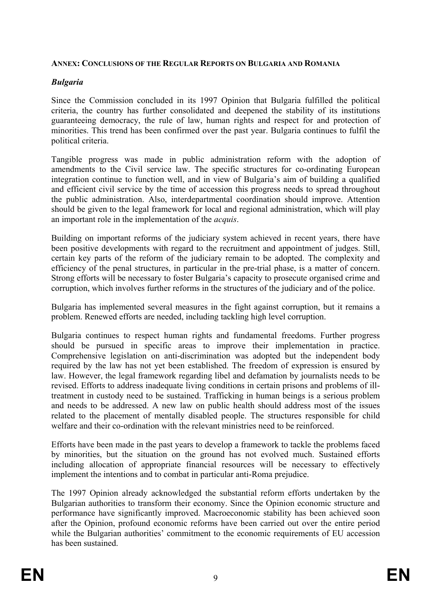#### **ANNEX: CONCLUSIONS OF THE REGULAR REPORTS ON BULGARIA AND ROMANIA**

## *Bulgaria*

Since the Commission concluded in its 1997 Opinion that Bulgaria fulfilled the political criteria, the country has further consolidated and deepened the stability of its institutions guaranteeing democracy, the rule of law, human rights and respect for and protection of minorities. This trend has been confirmed over the past year. Bulgaria continues to fulfil the political criteria.

Tangible progress was made in public administration reform with the adoption of amendments to the Civil service law. The specific structures for co-ordinating European integration continue to function well, and in view of Bulgaria's aim of building a qualified and efficient civil service by the time of accession this progress needs to spread throughout the public administration. Also, interdepartmental coordination should improve. Attention should be given to the legal framework for local and regional administration, which will play an important role in the implementation of the *acquis*.

Building on important reforms of the judiciary system achieved in recent years, there have been positive developments with regard to the recruitment and appointment of judges. Still, certain key parts of the reform of the judiciary remain to be adopted. The complexity and efficiency of the penal structures, in particular in the pre-trial phase, is a matter of concern. Strong efforts will be necessary to foster Bulgaria's capacity to prosecute organised crime and corruption, which involves further reforms in the structures of the judiciary and of the police.

Bulgaria has implemented several measures in the fight against corruption, but it remains a problem. Renewed efforts are needed, including tackling high level corruption.

Bulgaria continues to respect human rights and fundamental freedoms. Further progress should be pursued in specific areas to improve their implementation in practice. Comprehensive legislation on anti-discrimination was adopted but the independent body required by the law has not yet been established. The freedom of expression is ensured by law. However, the legal framework regarding libel and defamation by journalists needs to be revised. Efforts to address inadequate living conditions in certain prisons and problems of illtreatment in custody need to be sustained. Trafficking in human beings is a serious problem and needs to be addressed. A new law on public health should address most of the issues related to the placement of mentally disabled people. The structures responsible for child welfare and their co-ordination with the relevant ministries need to be reinforced.

Efforts have been made in the past years to develop a framework to tackle the problems faced by minorities, but the situation on the ground has not evolved much. Sustained efforts including allocation of appropriate financial resources will be necessary to effectively implement the intentions and to combat in particular anti-Roma prejudice.

The 1997 Opinion already acknowledged the substantial reform efforts undertaken by the Bulgarian authorities to transform their economy. Since the Opinion economic structure and performance have significantly improved. Macroeconomic stability has been achieved soon after the Opinion, profound economic reforms have been carried out over the entire period while the Bulgarian authorities' commitment to the economic requirements of EU accession has been sustained.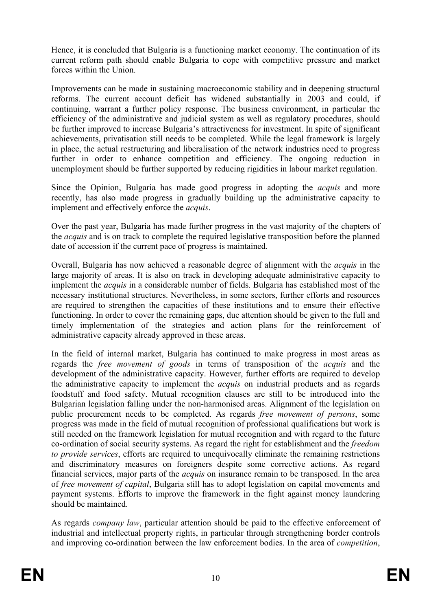Hence, it is concluded that Bulgaria is a functioning market economy. The continuation of its current reform path should enable Bulgaria to cope with competitive pressure and market forces within the Union.

Improvements can be made in sustaining macroeconomic stability and in deepening structural reforms. The current account deficit has widened substantially in 2003 and could, if continuing, warrant a further policy response. The business environment, in particular the efficiency of the administrative and judicial system as well as regulatory procedures, should be further improved to increase Bulgaria's attractiveness for investment. In spite of significant achievements, privatisation still needs to be completed. While the legal framework is largely in place, the actual restructuring and liberalisation of the network industries need to progress further in order to enhance competition and efficiency. The ongoing reduction in unemployment should be further supported by reducing rigidities in labour market regulation.

Since the Opinion, Bulgaria has made good progress in adopting the *acquis* and more recently, has also made progress in gradually building up the administrative capacity to implement and effectively enforce the *acquis*.

Over the past year, Bulgaria has made further progress in the vast majority of the chapters of the *acquis* and is on track to complete the required legislative transposition before the planned date of accession if the current pace of progress is maintained.

Overall, Bulgaria has now achieved a reasonable degree of alignment with the *acquis* in the large majority of areas. It is also on track in developing adequate administrative capacity to implement the *acquis* in a considerable number of fields. Bulgaria has established most of the necessary institutional structures. Nevertheless, in some sectors, further efforts and resources are required to strengthen the capacities of these institutions and to ensure their effective functioning. In order to cover the remaining gaps, due attention should be given to the full and timely implementation of the strategies and action plans for the reinforcement of administrative capacity already approved in these areas.

In the field of internal market, Bulgaria has continued to make progress in most areas as regards the *free movement of goods* in terms of transposition of the *acquis* and the development of the administrative capacity. However, further efforts are required to develop the administrative capacity to implement the *acquis* on industrial products and as regards foodstuff and food safety. Mutual recognition clauses are still to be introduced into the Bulgarian legislation falling under the non-harmonised areas. Alignment of the legislation on public procurement needs to be completed. As regards *free movement of persons*, some progress was made in the field of mutual recognition of professional qualifications but work is still needed on the framework legislation for mutual recognition and with regard to the future co-ordination of social security systems. As regard the right for establishment and the *freedom to provide services*, efforts are required to unequivocally eliminate the remaining restrictions and discriminatory measures on foreigners despite some corrective actions. As regard financial services, major parts of the *acquis* on insurance remain to be transposed. In the area of *free movement of capital*, Bulgaria still has to adopt legislation on capital movements and payment systems. Efforts to improve the framework in the fight against money laundering should be maintained.

As regards *company law*, particular attention should be paid to the effective enforcement of industrial and intellectual property rights, in particular through strengthening border controls and improving co-ordination between the law enforcement bodies. In the area of *competition*,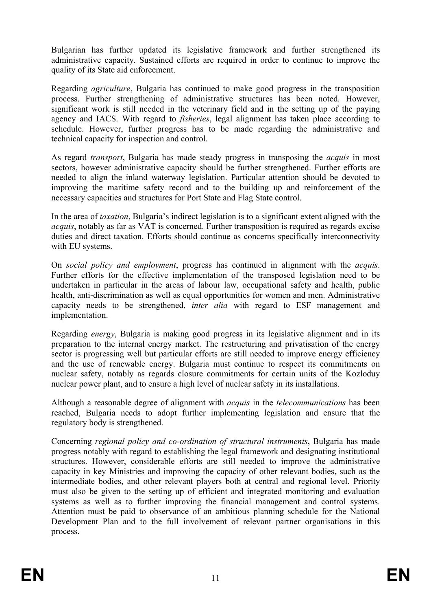Bulgarian has further updated its legislative framework and further strengthened its administrative capacity. Sustained efforts are required in order to continue to improve the quality of its State aid enforcement.

Regarding *agriculture*, Bulgaria has continued to make good progress in the transposition process. Further strengthening of administrative structures has been noted. However, significant work is still needed in the veterinary field and in the setting up of the paying agency and IACS. With regard to *fisheries*, legal alignment has taken place according to schedule. However, further progress has to be made regarding the administrative and technical capacity for inspection and control.

As regard *transport*, Bulgaria has made steady progress in transposing the *acquis* in most sectors, however administrative capacity should be further strengthened. Further efforts are needed to align the inland waterway legislation. Particular attention should be devoted to improving the maritime safety record and to the building up and reinforcement of the necessary capacities and structures for Port State and Flag State control.

In the area of *taxation*, Bulgaria's indirect legislation is to a significant extent aligned with the *acquis*, notably as far as VAT is concerned. Further transposition is required as regards excise duties and direct taxation. Efforts should continue as concerns specifically interconnectivity with EU systems.

On *social policy and employment*, progress has continued in alignment with the *acquis*. Further efforts for the effective implementation of the transposed legislation need to be undertaken in particular in the areas of labour law, occupational safety and health, public health, anti-discrimination as well as equal opportunities for women and men. Administrative capacity needs to be strengthened, *inter alia* with regard to ESF management and implementation.

Regarding *energy*, Bulgaria is making good progress in its legislative alignment and in its preparation to the internal energy market. The restructuring and privatisation of the energy sector is progressing well but particular efforts are still needed to improve energy efficiency and the use of renewable energy. Bulgaria must continue to respect its commitments on nuclear safety, notably as regards closure commitments for certain units of the Kozloduy nuclear power plant, and to ensure a high level of nuclear safety in its installations.

Although a reasonable degree of alignment with *acquis* in the *telecommunications* has been reached, Bulgaria needs to adopt further implementing legislation and ensure that the regulatory body is strengthened.

Concerning *regional policy and co-ordination of structural instruments*, Bulgaria has made progress notably with regard to establishing the legal framework and designating institutional structures. However, considerable efforts are still needed to improve the administrative capacity in key Ministries and improving the capacity of other relevant bodies, such as the intermediate bodies, and other relevant players both at central and regional level. Priority must also be given to the setting up of efficient and integrated monitoring and evaluation systems as well as to further improving the financial management and control systems. Attention must be paid to observance of an ambitious planning schedule for the National Development Plan and to the full involvement of relevant partner organisations in this process.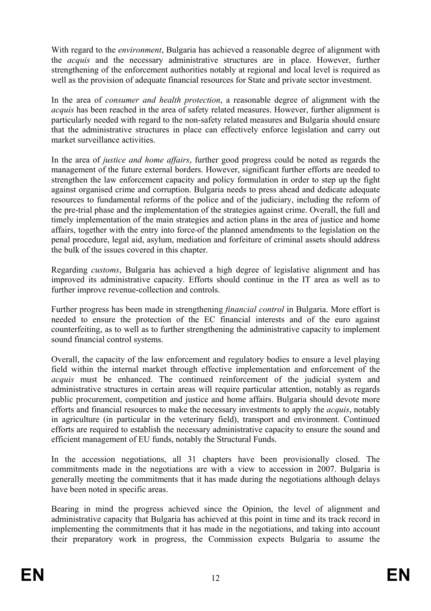With regard to the *environment*, Bulgaria has achieved a reasonable degree of alignment with the *acquis* and the necessary administrative structures are in place. However, further strengthening of the enforcement authorities notably at regional and local level is required as well as the provision of adequate financial resources for State and private sector investment.

In the area of *consumer and health protection*, a reasonable degree of alignment with the *acquis* has been reached in the area of safety related measures. However, further alignment is particularly needed with regard to the non-safety related measures and Bulgaria should ensure that the administrative structures in place can effectively enforce legislation and carry out market surveillance activities.

In the area of *justice and home affairs*, further good progress could be noted as regards the management of the future external borders. However, significant further efforts are needed to strengthen the law enforcement capacity and policy formulation in order to step up the fight against organised crime and corruption. Bulgaria needs to press ahead and dedicate adequate resources to fundamental reforms of the police and of the judiciary, including the reform of the pre-trial phase and the implementation of the strategies against crime. Overall, the full and timely implementation of the main strategies and action plans in the area of justice and home affairs, together with the entry into force of the planned amendments to the legislation on the penal procedure, legal aid, asylum, mediation and forfeiture of criminal assets should address the bulk of the issues covered in this chapter.

Regarding *customs*, Bulgaria has achieved a high degree of legislative alignment and has improved its administrative capacity. Efforts should continue in the IT area as well as to further improve revenue-collection and controls.

Further progress has been made in strengthening *financial control* in Bulgaria. More effort is needed to ensure the protection of the EC financial interests and of the euro against counterfeiting, as to well as to further strengthening the administrative capacity to implement sound financial control systems.

Overall, the capacity of the law enforcement and regulatory bodies to ensure a level playing field within the internal market through effective implementation and enforcement of the *acquis* must be enhanced. The continued reinforcement of the judicial system and administrative structures in certain areas will require particular attention, notably as regards public procurement, competition and justice and home affairs. Bulgaria should devote more efforts and financial resources to make the necessary investments to apply the *acquis*, notably in agriculture (in particular in the veterinary field), transport and environment. Continued efforts are required to establish the necessary administrative capacity to ensure the sound and efficient management of EU funds, notably the Structural Funds.

In the accession negotiations, all 31 chapters have been provisionally closed. The commitments made in the negotiations are with a view to accession in 2007. Bulgaria is generally meeting the commitments that it has made during the negotiations although delays have been noted in specific areas.

Bearing in mind the progress achieved since the Opinion, the level of alignment and administrative capacity that Bulgaria has achieved at this point in time and its track record in implementing the commitments that it has made in the negotiations, and taking into account their preparatory work in progress, the Commission expects Bulgaria to assume the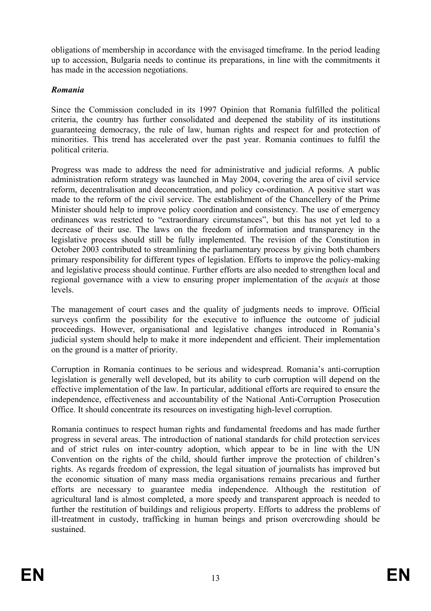obligations of membership in accordance with the envisaged timeframe. In the period leading up to accession, Bulgaria needs to continue its preparations, in line with the commitments it has made in the accession negotiations.

# *Romania*

Since the Commission concluded in its 1997 Opinion that Romania fulfilled the political criteria, the country has further consolidated and deepened the stability of its institutions guaranteeing democracy, the rule of law, human rights and respect for and protection of minorities. This trend has accelerated over the past year. Romania continues to fulfil the political criteria.

Progress was made to address the need for administrative and judicial reforms. A public administration reform strategy was launched in May 2004, covering the area of civil service reform, decentralisation and deconcentration, and policy co-ordination. A positive start was made to the reform of the civil service. The establishment of the Chancellery of the Prime Minister should help to improve policy coordination and consistency. The use of emergency ordinances was restricted to "extraordinary circumstances", but this has not yet led to a decrease of their use. The laws on the freedom of information and transparency in the legislative process should still be fully implemented. The revision of the Constitution in October 2003 contributed to streamlining the parliamentary process by giving both chambers primary responsibility for different types of legislation. Efforts to improve the policy-making and legislative process should continue. Further efforts are also needed to strengthen local and regional governance with a view to ensuring proper implementation of the *acquis* at those levels.

The management of court cases and the quality of judgments needs to improve. Official surveys confirm the possibility for the executive to influence the outcome of judicial proceedings. However, organisational and legislative changes introduced in Romania's judicial system should help to make it more independent and efficient. Their implementation on the ground is a matter of priority.

Corruption in Romania continues to be serious and widespread. Romania's anti-corruption legislation is generally well developed, but its ability to curb corruption will depend on the effective implementation of the law. In particular, additional efforts are required to ensure the independence, effectiveness and accountability of the National Anti-Corruption Prosecution Office. It should concentrate its resources on investigating high-level corruption.

Romania continues to respect human rights and fundamental freedoms and has made further progress in several areas. The introduction of national standards for child protection services and of strict rules on inter-country adoption, which appear to be in line with the UN Convention on the rights of the child, should further improve the protection of children's rights. As regards freedom of expression, the legal situation of journalists has improved but the economic situation of many mass media organisations remains precarious and further efforts are necessary to guarantee media independence. Although the restitution of agricultural land is almost completed, a more speedy and transparent approach is needed to further the restitution of buildings and religious property. Efforts to address the problems of ill-treatment in custody, trafficking in human beings and prison overcrowding should be sustained.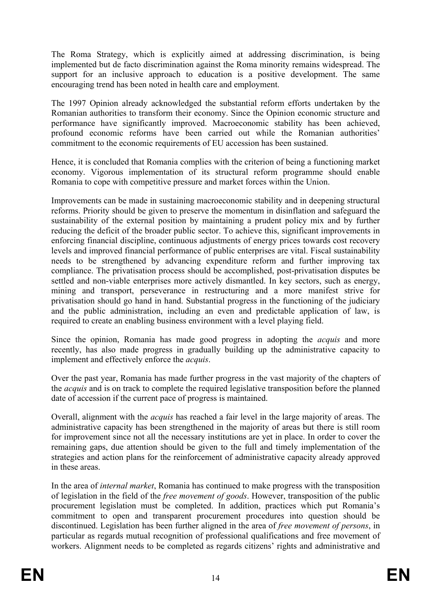The Roma Strategy, which is explicitly aimed at addressing discrimination, is being implemented but de facto discrimination against the Roma minority remains widespread. The support for an inclusive approach to education is a positive development. The same encouraging trend has been noted in health care and employment.

The 1997 Opinion already acknowledged the substantial reform efforts undertaken by the Romanian authorities to transform their economy. Since the Opinion economic structure and performance have significantly improved. Macroeconomic stability has been achieved, profound economic reforms have been carried out while the Romanian authorities' commitment to the economic requirements of EU accession has been sustained.

Hence, it is concluded that Romania complies with the criterion of being a functioning market economy. Vigorous implementation of its structural reform programme should enable Romania to cope with competitive pressure and market forces within the Union.

Improvements can be made in sustaining macroeconomic stability and in deepening structural reforms. Priority should be given to preserve the momentum in disinflation and safeguard the sustainability of the external position by maintaining a prudent policy mix and by further reducing the deficit of the broader public sector. To achieve this, significant improvements in enforcing financial discipline, continuous adjustments of energy prices towards cost recovery levels and improved financial performance of public enterprises are vital. Fiscal sustainability needs to be strengthened by advancing expenditure reform and further improving tax compliance. The privatisation process should be accomplished, post-privatisation disputes be settled and non-viable enterprises more actively dismantled. In key sectors, such as energy, mining and transport, perseverance in restructuring and a more manifest strive for privatisation should go hand in hand. Substantial progress in the functioning of the judiciary and the public administration, including an even and predictable application of law, is required to create an enabling business environment with a level playing field.

Since the opinion, Romania has made good progress in adopting the *acquis* and more recently, has also made progress in gradually building up the administrative capacity to implement and effectively enforce the *acquis*.

Over the past year, Romania has made further progress in the vast majority of the chapters of the *acquis* and is on track to complete the required legislative transposition before the planned date of accession if the current pace of progress is maintained.

Overall, alignment with the *acquis* has reached a fair level in the large majority of areas. The administrative capacity has been strengthened in the majority of areas but there is still room for improvement since not all the necessary institutions are yet in place. In order to cover the remaining gaps, due attention should be given to the full and timely implementation of the strategies and action plans for the reinforcement of administrative capacity already approved in these areas.

In the area of *internal market*, Romania has continued to make progress with the transposition of legislation in the field of the *free movement of goods*. However, transposition of the public procurement legislation must be completed. In addition, practices which put Romania's commitment to open and transparent procurement procedures into question should be discontinued. Legislation has been further aligned in the area of *free movement of persons*, in particular as regards mutual recognition of professional qualifications and free movement of workers. Alignment needs to be completed as regards citizens' rights and administrative and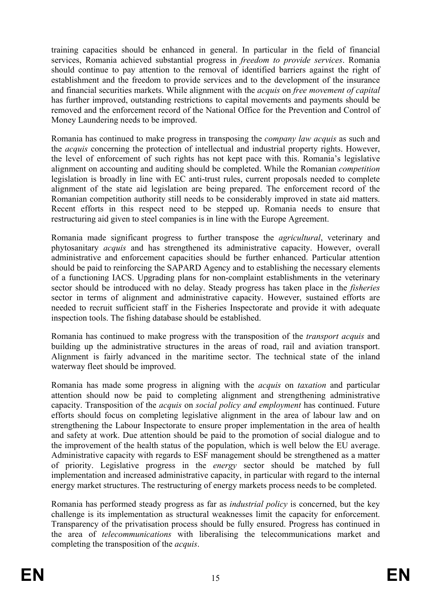training capacities should be enhanced in general. In particular in the field of financial services, Romania achieved substantial progress in *freedom to provide services*. Romania should continue to pay attention to the removal of identified barriers against the right of establishment and the freedom to provide services and to the development of the insurance and financial securities markets. While alignment with the *acquis* on *free movement of capital* has further improved, outstanding restrictions to capital movements and payments should be removed and the enforcement record of the National Office for the Prevention and Control of Money Laundering needs to be improved.

Romania has continued to make progress in transposing the *company law acquis* as such and the *acquis* concerning the protection of intellectual and industrial property rights. However, the level of enforcement of such rights has not kept pace with this. Romania's legislative alignment on accounting and auditing should be completed. While the Romanian *competition* legislation is broadly in line with EC anti-trust rules, current proposals needed to complete alignment of the state aid legislation are being prepared. The enforcement record of the Romanian competition authority still needs to be considerably improved in state aid matters. Recent efforts in this respect need to be stepped up. Romania needs to ensure that restructuring aid given to steel companies is in line with the Europe Agreement.

Romania made significant progress to further transpose the *agricultural*, veterinary and phytosanitary *acquis* and has strengthened its administrative capacity. However, overall administrative and enforcement capacities should be further enhanced. Particular attention should be paid to reinforcing the SAPARD Agency and to establishing the necessary elements of a functioning IACS. Upgrading plans for non-complaint establishments in the veterinary sector should be introduced with no delay. Steady progress has taken place in the *fisheries*  sector in terms of alignment and administrative capacity. However, sustained efforts are needed to recruit sufficient staff in the Fisheries Inspectorate and provide it with adequate inspection tools. The fishing database should be established.

Romania has continued to make progress with the transposition of the *transport acquis* and building up the administrative structures in the areas of road, rail and aviation transport. Alignment is fairly advanced in the maritime sector. The technical state of the inland waterway fleet should be improved.

Romania has made some progress in aligning with the *acquis* on *taxation* and particular attention should now be paid to completing alignment and strengthening administrative capacity. Transposition of the *acquis* on *social policy and employment* has continued. Future efforts should focus on completing legislative alignment in the area of labour law and on strengthening the Labour Inspectorate to ensure proper implementation in the area of health and safety at work. Due attention should be paid to the promotion of social dialogue and to the improvement of the health status of the population, which is well below the EU average. Administrative capacity with regards to ESF management should be strengthened as a matter of priority. Legislative progress in the *energy* sector should be matched by full implementation and increased administrative capacity, in particular with regard to the internal energy market structures. The restructuring of energy markets process needs to be completed.

Romania has performed steady progress as far as *industrial policy* is concerned, but the key challenge is its implementation as structural weaknesses limit the capacity for enforcement. Transparency of the privatisation process should be fully ensured. Progress has continued in the area of *telecommunications* with liberalising the telecommunications market and completing the transposition of the *acquis*.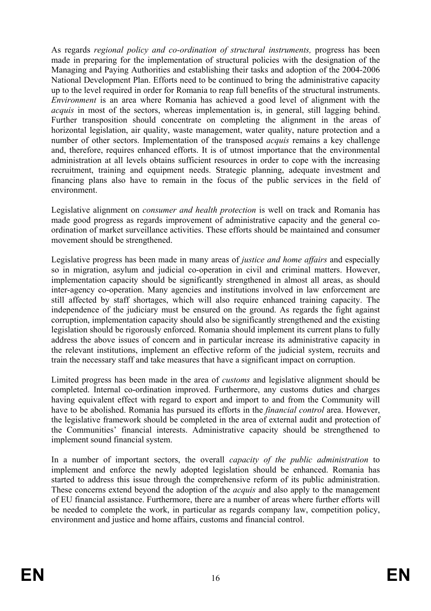As regards *regional policy and co-ordination of structural instruments,* progress has been made in preparing for the implementation of structural policies with the designation of the Managing and Paying Authorities and establishing their tasks and adoption of the 2004-2006 National Development Plan. Efforts need to be continued to bring the administrative capacity up to the level required in order for Romania to reap full benefits of the structural instruments. *Environment* is an area where Romania has achieved a good level of alignment with the *acquis* in most of the sectors, whereas implementation is, in general, still lagging behind. Further transposition should concentrate on completing the alignment in the areas of horizontal legislation, air quality, waste management, water quality, nature protection and a number of other sectors. Implementation of the transposed *acquis* remains a key challenge and, therefore, requires enhanced efforts. It is of utmost importance that the environmental administration at all levels obtains sufficient resources in order to cope with the increasing recruitment, training and equipment needs. Strategic planning, adequate investment and financing plans also have to remain in the focus of the public services in the field of environment.

Legislative alignment on *consumer and health protection* is well on track and Romania has made good progress as regards improvement of administrative capacity and the general coordination of market surveillance activities. These efforts should be maintained and consumer movement should be strengthened.

Legislative progress has been made in many areas of *justice and home affairs* and especially so in migration, asylum and judicial co-operation in civil and criminal matters. However, implementation capacity should be significantly strengthened in almost all areas, as should inter-agency co-operation. Many agencies and institutions involved in law enforcement are still affected by staff shortages, which will also require enhanced training capacity. The independence of the judiciary must be ensured on the ground. As regards the fight against corruption, implementation capacity should also be significantly strengthened and the existing legislation should be rigorously enforced. Romania should implement its current plans to fully address the above issues of concern and in particular increase its administrative capacity in the relevant institutions, implement an effective reform of the judicial system, recruits and train the necessary staff and take measures that have a significant impact on corruption.

Limited progress has been made in the area of *customs* and legislative alignment should be completed. Internal co-ordination improved. Furthermore, any customs duties and charges having equivalent effect with regard to export and import to and from the Community will have to be abolished. Romania has pursued its efforts in the *financial control* area. However, the legislative framework should be completed in the area of external audit and protection of the Communities' financial interests. Administrative capacity should be strengthened to implement sound financial system.

In a number of important sectors, the overall *capacity of the public administration* to implement and enforce the newly adopted legislation should be enhanced. Romania has started to address this issue through the comprehensive reform of its public administration. These concerns extend beyond the adoption of the *acquis* and also apply to the management of EU financial assistance. Furthermore, there are a number of areas where further efforts will be needed to complete the work, in particular as regards company law, competition policy, environment and justice and home affairs, customs and financial control.